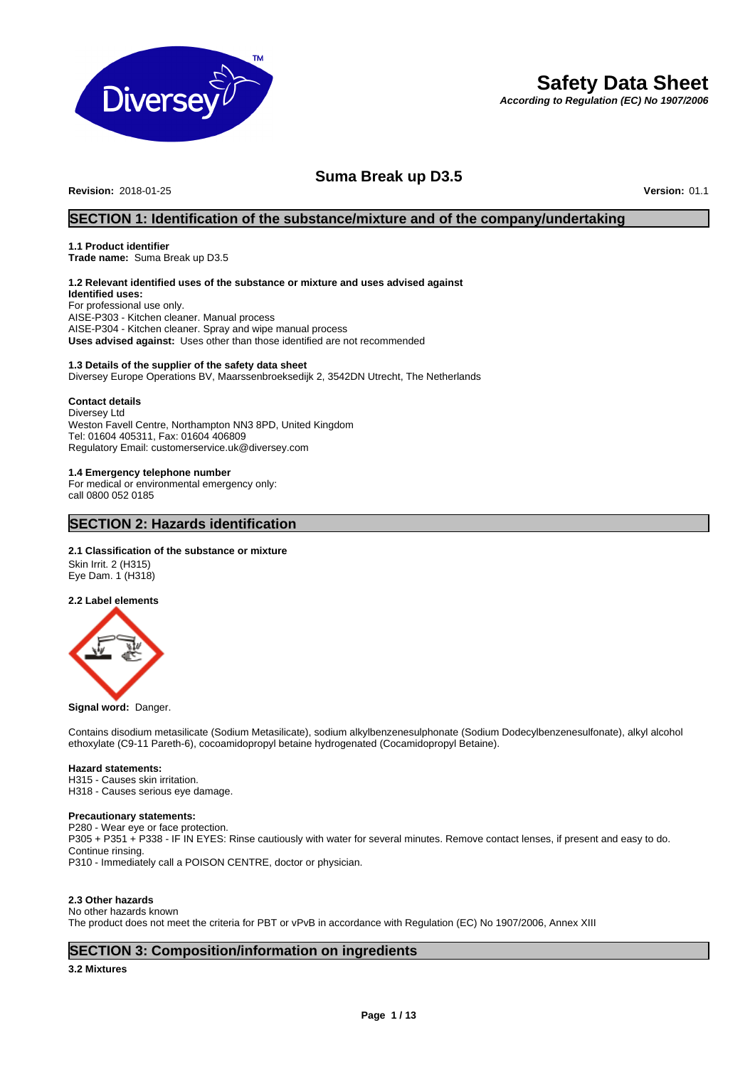

# **Safety Data Sheet**

*According to Regulation (EC) No 1907/2006*

# **Suma Break up D3.5**

**Revision:** 2018-01-25 **Version:** 01.1

# **SECTION 1: Identification of the substance/mixture and of the company/undertaking**

# **1.1 Product identifier**

**Trade name:** Suma Break up D3.5

# **1.2 Relevant identified uses of the substance or mixture and uses advised against**

**Identified uses:** For professional use only. AISE-P303 - Kitchen cleaner. Manual process AISE-P304 - Kitchen cleaner. Spray and wipe manual process **Uses advised against:** Uses other than those identified are not recommended

# **1.3 Details of the supplier of the safety data sheet**

Diversey Europe Operations BV, Maarssenbroeksedijk 2, 3542DN Utrecht, The Netherlands

# **Contact details**

Diversey Ltd Weston Favell Centre, Northampton NN3 8PD, United Kingdom Tel: 01604 405311, Fax: 01604 406809 Regulatory Email: customerservice.uk@diversey.com

# **1.4 Emergency telephone number**

For medical or environmental emergency only: call 0800 052 0185

# **SECTION 2: Hazards identification**

# **2.1 Classification of the substance or mixture**

Skin Irrit. 2 (H315) Eye Dam. 1 (H318)

**2.2 Label elements**



#### **Signal word:** Danger.

Contains disodium metasilicate (Sodium Metasilicate), sodium alkylbenzenesulphonate (Sodium Dodecylbenzenesulfonate), alkyl alcohol ethoxylate (C9-11 Pareth-6), cocoamidopropyl betaine hydrogenated (Cocamidopropyl Betaine).

# **Hazard statements:**

H315 - Causes skin irritation. H318 - Causes serious eye damage.

#### **Precautionary statements:**

P280 - Wear eye or face protection. P305 + P351 + P338 - IF IN EYES: Rinse cautiously with water for several minutes. Remove contact lenses, if present and easy to do. Continue rinsing. P310 - Immediately call a POISON CENTRE, doctor or physician.

# **2.3 Other hazards**

No other hazards known The product does not meet the criteria for PBT or vPvB in accordance with Regulation (EC) No 1907/2006, Annex XIII

# **SECTION 3: Composition/information on ingredients**

**3.2 Mixtures**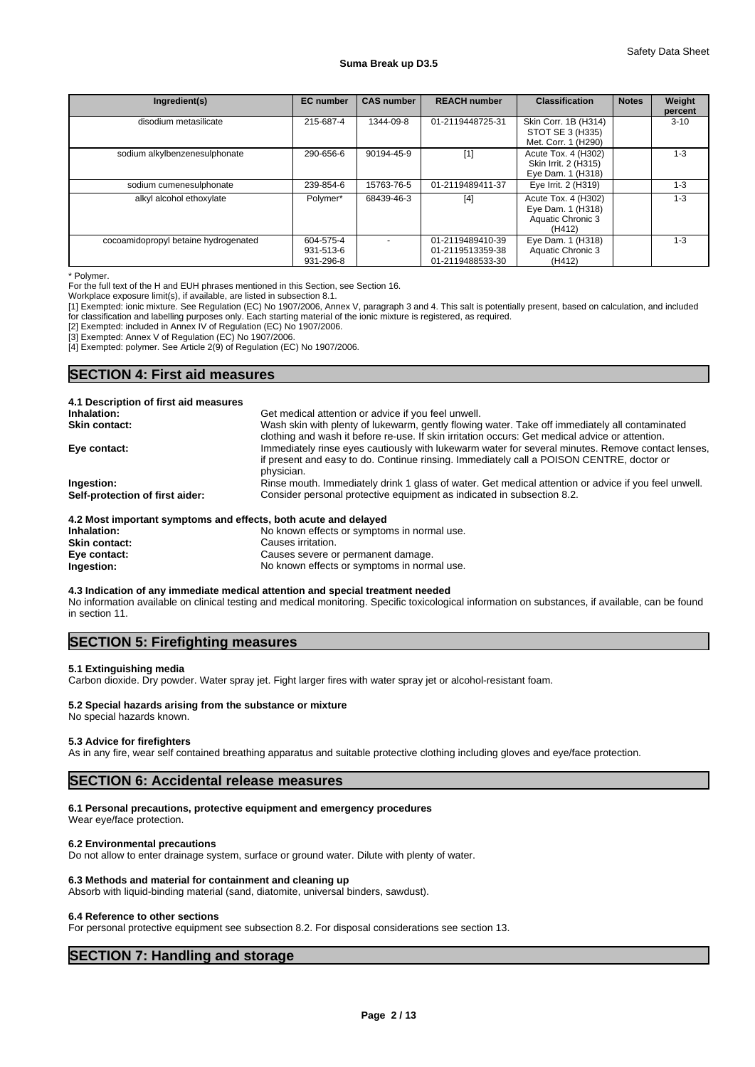| Ingredient(s)                        | <b>EC</b> number                    | <b>CAS number</b> | <b>REACH number</b>                                      | <b>Classification</b>                                                   | <b>Notes</b> | Weight<br>percent |
|--------------------------------------|-------------------------------------|-------------------|----------------------------------------------------------|-------------------------------------------------------------------------|--------------|-------------------|
| disodium metasilicate                | 215-687-4                           | 1344-09-8         | 01-2119448725-31                                         | Skin Corr. 1B (H314)<br>STOT SE 3 (H335)<br>Met. Corr. 1 (H290)         |              | $3 - 10$          |
| sodium alkylbenzenesulphonate        | 290-656-6                           | 90194-45-9        | $[1]$                                                    | Acute Tox. 4 (H302)<br>Skin Irrit. 2 (H315)<br>Eye Dam. 1 (H318)        |              | $1 - 3$           |
| sodium cumenesulphonate              | 239-854-6                           | 15763-76-5        | 01-2119489411-37                                         | Eye Irrit. 2 (H319)                                                     |              | $1 - 3$           |
| alkyl alcohol ethoxylate             | Polymer*                            | 68439-46-3        | $[4]$                                                    | Acute Tox. 4 (H302)<br>Eye Dam. 1 (H318)<br>Aquatic Chronic 3<br>(H412) |              | $1 - 3$           |
| cocoamidopropyl betaine hydrogenated | 604-575-4<br>931-513-6<br>931-296-8 |                   | 01-2119489410-39<br>01-2119513359-38<br>01-2119488533-30 | Eye Dam. 1 (H318)<br>Aquatic Chronic 3<br>(H412)                        |              | $1 - 3$           |

<sup>\*</sup> Polymer.

For the full text of the H and EUH phrases mentioned in this Section, see Section 16.

Workplace exposure limit(s), if available, are listed in subsection 8.1.

[1] Exempted: ionic mixture. See Regulation (EC) No 1907/2006, Annex V, paragraph 3 and 4. This salt is potentially present, based on calculation, and included for classification and labelling purposes only. Each starting material of the ionic mixture is registered, as required.

[2] Exempted: included in Annex IV of Regulation (EC) No 1907/2006.

[3] Exempted: Annex V of Regulation (EC) No 1907/2006.

[4] Exempted: polymer. See Article 2(9) of Regulation (EC) No 1907/2006.

# **SECTION 4: First aid measures**

| 4.1 Description of first aid measures                           |                                                                                                      |
|-----------------------------------------------------------------|------------------------------------------------------------------------------------------------------|
| Inhalation:                                                     | Get medical attention or advice if you feel unwell.                                                  |
| <b>Skin contact:</b>                                            | Wash skin with plenty of lukewarm, gently flowing water. Take off immediately all contaminated       |
|                                                                 | clothing and wash it before re-use. If skin irritation occurs: Get medical advice or attention.      |
| Eye contact:                                                    | Immediately rinse eyes cautiously with lukewarm water for several minutes. Remove contact lenses,    |
|                                                                 | if present and easy to do. Continue rinsing. Immediately call a POISON CENTRE, doctor or             |
|                                                                 | physician.                                                                                           |
| Ingestion:                                                      | Rinse mouth. Immediately drink 1 glass of water. Get medical attention or advice if you feel unwell. |
| Self-protection of first aider:                                 | Consider personal protective equipment as indicated in subsection 8.2.                               |
| 4.2 Most important symptoms and effects, both acute and delayed |                                                                                                      |
| Inhalation:                                                     | No known effects or symptoms in normal use.                                                          |

| 4.2 MOST IMPORTANT SYMPTOMIS AND CHECTS, DOIN ACTIVE AND DETAYED |                                             |
|------------------------------------------------------------------|---------------------------------------------|
| Inhalation:                                                      | No known effects or symptoms in normal use. |
| Skin contact:                                                    | Causes irritation.                          |
| Eye contact:                                                     | Causes severe or permanent damage.          |
| Ingestion:                                                       | No known effects or symptoms in normal use. |

### **4.3 Indication of any immediate medical attention and special treatment needed** No information available on clinical testing and medical monitoring. Specific toxicological information on substances, if available, can be found in section 11.

# **SECTION 5: Firefighting measures**

#### **5.1 Extinguishing media**

Carbon dioxide. Dry powder. Water spray jet. Fight larger fires with water spray jet or alcohol-resistant foam.

# **5.2 Special hazards arising from the substance or mixture**

No special hazards known.

#### **5.3 Advice for firefighters**

As in any fire, wear self contained breathing apparatus and suitable protective clothing including gloves and eye/face protection.

# **SECTION 6: Accidental release measures**

# **6.1 Personal precautions, protective equipment and emergency procedures**

Wear eye/face protection.

# **6.2 Environmental precautions**

Do not allow to enter drainage system, surface or ground water. Dilute with plenty of water.

# **6.3 Methods and material for containment and cleaning up**

Absorb with liquid-binding material (sand, diatomite, universal binders, sawdust).

#### **6.4 Reference to other sections**

For personal protective equipment see subsection 8.2. For disposal considerations see section 13.

# **SECTION 7: Handling and storage**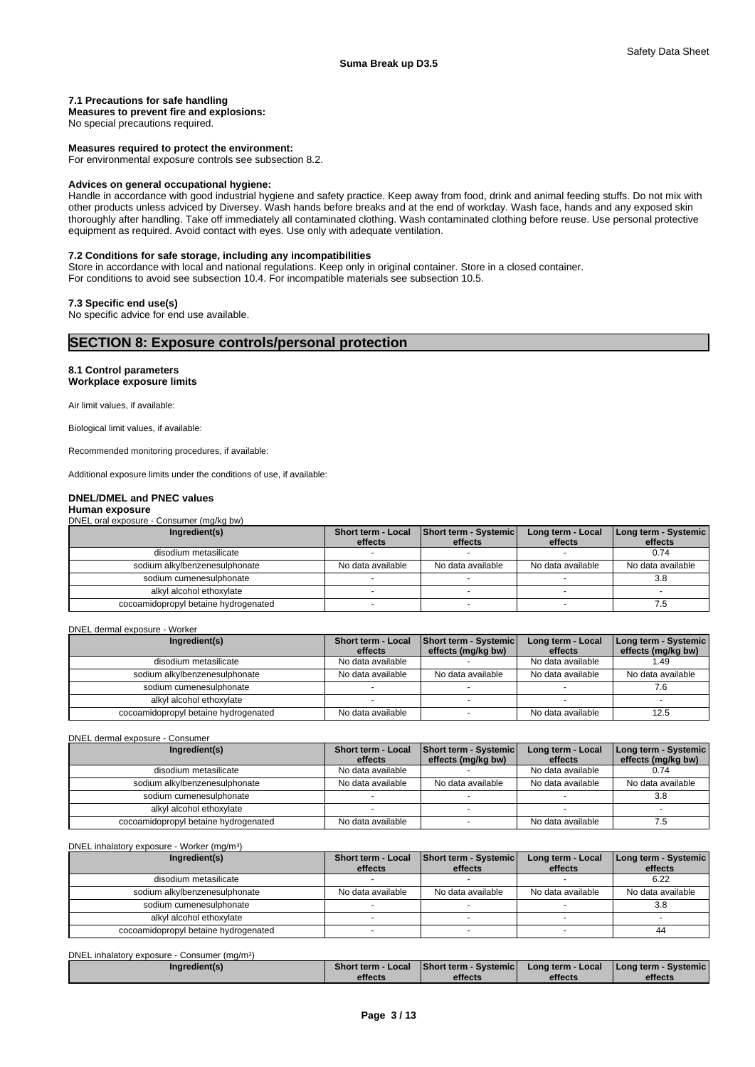# **7.1 Precautions for safe handling**

**Measures to prevent fire and explosions:**

No special precautions required.

#### **Measures required to protect the environment:**

For environmental exposure controls see subsection 8.2.

#### **Advices on general occupational hygiene:**

Handle in accordance with good industrial hygiene and safety practice. Keep away from food, drink and animal feeding stuffs. Do not mix with other products unless adviced by Diversey. Wash hands before breaks and at the end of workday. Wash face, hands and any exposed skin thoroughly after handling. Take off immediately all contaminated clothing. Wash contaminated clothing before reuse. Use personal protective equipment as required. Avoid contact with eyes. Use only with adequate ventilation.

# **7.2 Conditions for safe storage, including any incompatibilities**

Store in accordance with local and national regulations. Keep only in original container. Store in a closed container. For conditions to avoid see subsection 10.4. For incompatible materials see subsection 10.5.

# **7.3 Specific end use(s)**

No specific advice for end use available.

# **SECTION 8: Exposure controls/personal protection**

# **8.1 Control parameters Workplace exposure limits**

Air limit values, if available:

Biological limit values, if available:

Recommended monitoring procedures, if available:

Additional exposure limits under the conditions of use, if available:

# **DNEL/DMEL and PNEC values**

# **Human exposure**

DNEL oral exposure - Consumer (mg/kg bw)

| Ingredient(s)                        | Short term - Local | Short term - Systemic | Long term - Local | Long term - Systemic |
|--------------------------------------|--------------------|-----------------------|-------------------|----------------------|
|                                      | effects            | effects               | effects           | effects              |
| disodium metasilicate                |                    |                       |                   | 0.74                 |
| sodium alkylbenzenesulphonate        | No data available  | No data available     | No data available | No data available    |
| sodium cumenesulphonate              |                    |                       |                   | 3.8                  |
| alkyl alcohol ethoxylate             |                    |                       |                   |                      |
| cocoamidopropyl betaine hydrogenated |                    |                       |                   | ن. ا                 |

#### DNEL dermal exposure - Worker

| Ingredient(s)                        | <b>Short term - Local</b> | <b>Short term - Systemic</b> | Long term - Local | Long term - Systemic |
|--------------------------------------|---------------------------|------------------------------|-------------------|----------------------|
|                                      | effects                   | effects (mg/kg bw)           | effects           | effects (mg/kg bw)   |
| disodium metasilicate                | No data available         |                              | No data available | 1.49                 |
| sodium alkylbenzenesulphonate        | No data available         | No data available            | No data available | No data available    |
| sodium cumenesulphonate              |                           |                              |                   |                      |
| alkyl alcohol ethoxylate             |                           |                              |                   |                      |
| cocoamidopropyl betaine hydrogenated | No data available         |                              | No data available | 12.5                 |

DNEL dermal exposure - Consumer

| Ingredient(s)                        | <b>Short term - Local</b> | <b>Short term - Systemic</b> | Long term - Local | Long term - Systemic |
|--------------------------------------|---------------------------|------------------------------|-------------------|----------------------|
|                                      | effects                   | effects (mg/kg bw)           | effects           | effects (mg/kg bw)   |
| disodium metasilicate                | No data available         |                              | No data available | 0.74                 |
| sodium alkylbenzenesulphonate        | No data available         | No data available            | No data available | No data available    |
| sodium cumenesulphonate              |                           |                              |                   | 3.8                  |
| alkyl alcohol ethoxylate             |                           |                              |                   |                      |
| cocoamidopropyl betaine hydrogenated | No data available         |                              | No data available | ن. ا                 |

|  | DNEL inhalatory exposure - Worker (mg/m <sup>3</sup> ) |  |
|--|--------------------------------------------------------|--|
|--|--------------------------------------------------------|--|

| Ingredient(s)                        | Short term - Local | <b>Short term - Systemic</b> | Long term - Local | Long term - Systemic |
|--------------------------------------|--------------------|------------------------------|-------------------|----------------------|
|                                      | effects            | effects                      | effects           | effects              |
| disodium metasilicate                |                    |                              |                   | 6.22                 |
| sodium alkylbenzenesulphonate        | No data available  | No data available            | No data available | No data available    |
| sodium cumenesulphonate              |                    |                              |                   | 3.8                  |
| alkyl alcohol ethoxylate             |                    |                              |                   |                      |
| cocoamidopropyl betaine hydrogenated |                    |                              |                   | 44                   |

| DNEL inhalatory exposure -<br>Consumer (ma/m <sup>3</sup> ) |                    |                               |                       |                                 |  |
|-------------------------------------------------------------|--------------------|-------------------------------|-----------------------|---------------------------------|--|
| Ingredient(s)                                               | Short term - Local | <b>Short term - Systemicl</b> | ⁄ Long term - Local ∤ | <b>I Long term - Systemic I</b> |  |
|                                                             | effects            | effects                       | effects               | effects                         |  |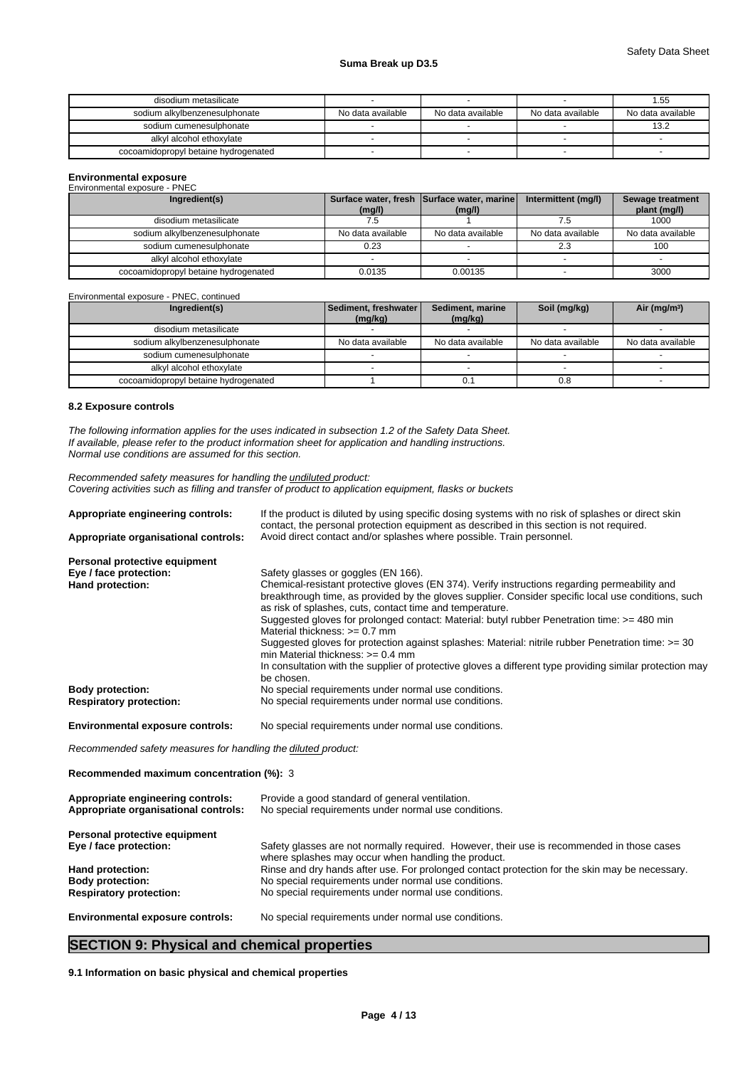# **Suma Break up D3.5**

| disodium metasilicate                |                   |                   |                   | l.55              |
|--------------------------------------|-------------------|-------------------|-------------------|-------------------|
| sodium alkylbenzenesulphonate        | No data available | No data available | No data available | No data available |
| sodium cumenesulphonate              |                   |                   |                   | 13.2              |
| alkyl alcohol ethoxylate             |                   |                   |                   |                   |
| cocoamidopropyl betaine hydrogenated |                   |                   |                   |                   |

# **Environmental exposure** Environmental exposure - PNEC

| Elivilommental exposure - Fined      |                   |                                                      |                     |                                  |
|--------------------------------------|-------------------|------------------------------------------------------|---------------------|----------------------------------|
| Ingredient(s)                        | (mg/l)            | Surface water, fresh Surface water, marine<br>(mg/l) | Intermittent (mg/l) | Sewage treatment<br>plant (mg/l) |
| disodium metasilicate                |                   |                                                      |                     | 1000                             |
| sodium alkylbenzenesulphonate        | No data available | No data available                                    | No data available   | No data available                |
| sodium cumenesulphonate              | 0.23              |                                                      | 2.3                 | 100                              |
| alkyl alcohol ethoxylate             |                   |                                                      |                     |                                  |
| cocoamidopropyl betaine hydrogenated | 0.0135            | 0.00135                                              |                     | 3000                             |

Environmental exposure - PNEC, continued

| Ingredient(s)                        | Sediment, freshwater<br>(mg/kg) | Sediment, marine<br>(mg/kg) | Soil (mg/kg)      | Air ( $mg/m3$ )   |
|--------------------------------------|---------------------------------|-----------------------------|-------------------|-------------------|
| disodium metasilicate                |                                 |                             |                   |                   |
| sodium alkylbenzenesulphonate        | No data available               | No data available           | No data available | No data available |
| sodium cumenesulphonate              |                                 |                             |                   |                   |
| alkyl alcohol ethoxylate             |                                 |                             |                   |                   |
| cocoamidopropyl betaine hydrogenated |                                 |                             | 0.8               |                   |

# **8.2 Exposure controls**

*The following information applies for the uses indicated in subsection 1.2 of the Safety Data Sheet. If available, please refer to the product information sheet for application and handling instructions. Normal use conditions are assumed for this section.*

*Recommended safety measures for handling the undiluted product: Covering activities such as filling and transfer of product to application equipment, flasks or buckets*

| If the product is diluted by using specific dosing systems with no risk of splashes or direct skin<br>contact, the personal protection equipment as described in this section is not required. |
|------------------------------------------------------------------------------------------------------------------------------------------------------------------------------------------------|
| Avoid direct contact and/or splashes where possible. Train personnel.                                                                                                                          |
|                                                                                                                                                                                                |
| Safety glasses or goggles (EN 166).                                                                                                                                                            |
| Chemical-resistant protective gloves (EN 374). Verify instructions regarding permeability and                                                                                                  |
| breakthrough time, as provided by the gloves supplier. Consider specific local use conditions, such<br>as risk of splashes, cuts, contact time and temperature.                                |
| Suggested gloves for prolonged contact: Material: butyl rubber Penetration time: >= 480 min<br>Material thickness: $>= 0.7$ mm                                                                 |
| Suggested gloves for protection against splashes: Material: nitrile rubber Penetration time: >= 30<br>min Material thickness: $\geq 0.4$ mm                                                    |
| In consultation with the supplier of protective gloves a different type providing similar protection may<br>be chosen.                                                                         |
| No special requirements under normal use conditions.                                                                                                                                           |
| No special requirements under normal use conditions.                                                                                                                                           |
| No special requirements under normal use conditions.                                                                                                                                           |
|                                                                                                                                                                                                |

*Recommended safety measures for handling the diluted product:*

**Recommended maximum concentration (%):** 3

| Appropriate engineering controls:<br>Appropriate organisational controls: | Provide a good standard of general ventilation.<br>No special requirements under normal use conditions.                                           |
|---------------------------------------------------------------------------|---------------------------------------------------------------------------------------------------------------------------------------------------|
| Personal protective equipment                                             |                                                                                                                                                   |
| Eye / face protection:                                                    | Safety glasses are not normally required. However, their use is recommended in those cases<br>where splashes may occur when handling the product. |
| Hand protection:                                                          | Rinse and dry hands after use. For prolonged contact protection for the skin may be necessary.                                                    |
| <b>Body protection:</b>                                                   | No special requirements under normal use conditions.                                                                                              |
| <b>Respiratory protection:</b>                                            | No special requirements under normal use conditions.                                                                                              |
| <b>Environmental exposure controls:</b>                                   | No special requirements under normal use conditions.                                                                                              |

# **SECTION 9: Physical and chemical properties**

**9.1 Information on basic physical and chemical properties**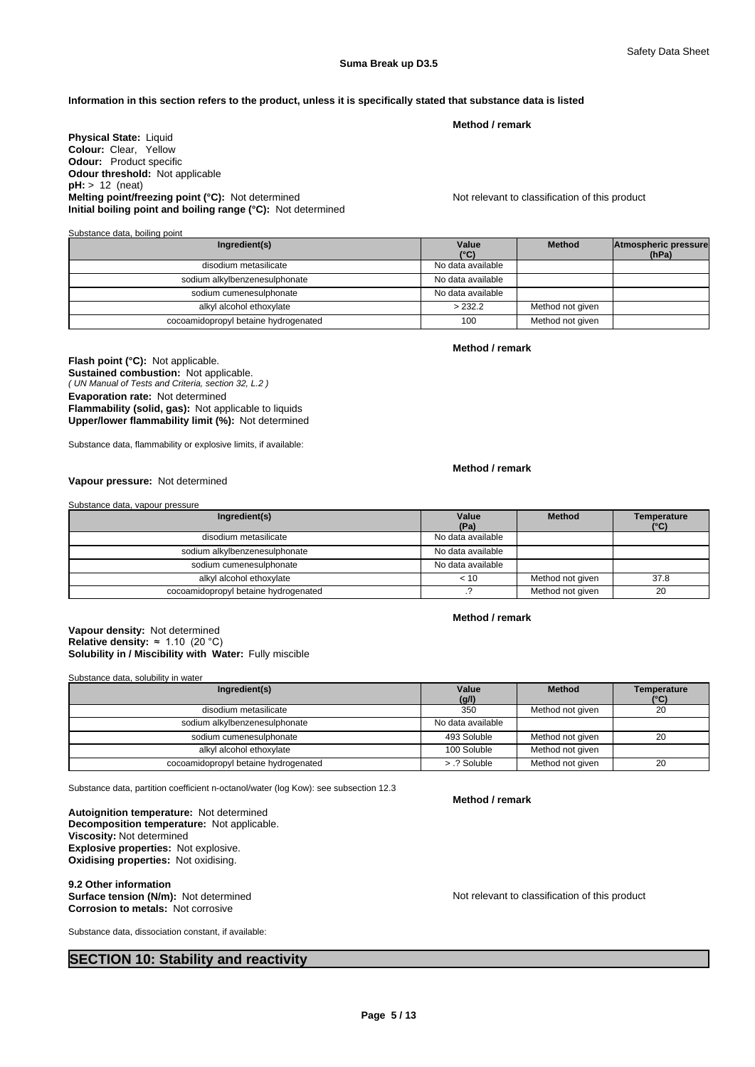**Method Atmospheric pressure (hPa)**

# **Information in this section refers to the product, unless it is specifically stated that substance data is listed**

**Physical State:** Liquid **Colour:** Clear, Yellow **Odour:** Product specific **Odour threshold:** Not applicable **pH:** > 12 (neat) **Melting point/freezing point (°C):** Not determined Not relevant to classification of this product **Initial boiling point and boiling range (°C):** Not determined

Substance data, boiling point **Ingredient(s) Value Value Method (°C)** disodium metasilicate Note and American Control and American North Absolution No data available

| qisoqlurli metasilicate              | <u>ino dala avaliable</u> |                  |  |
|--------------------------------------|---------------------------|------------------|--|
| sodium alkylbenzenesulphonate        | No data available         |                  |  |
| sodium cumenesulphonate              | No data available         |                  |  |
| alkyl alcohol ethoxylate             | >232.2                    | Method not given |  |
| cocoamidopropyl betaine hydrogenated | 100                       | Method not given |  |

#### **Method / remark**

**Method / remark**

**Method / remark**

*( UN Manual of Tests and Criteria, section 32, L.2 )* **Flash point (°C):** Not applicable. **Sustained combustion:** Not applicable. **Evaporation rate:** Not determined **Flammability (solid, gas):** Not applicable to liquids **Upper/lower flammability limit (%):** Not determined

Substance data, flammability or explosive limits, if available:

# **Vapour pressure:** Not determined

Substance data, vapour pressure

| Ingredient(s)                        | Value<br>(Pa)     | <b>Method</b>    | Temperature<br>(°C) |
|--------------------------------------|-------------------|------------------|---------------------|
| disodium metasilicate                | No data available |                  |                     |
| sodium alkylbenzenesulphonate        | No data available |                  |                     |
| sodium cumenesulphonate              | No data available |                  |                     |
| alkyl alcohol ethoxylate             | < 10              | Method not given | 37.8                |
| cocoamidopropyl betaine hydrogenated |                   | Method not given | 20                  |

#### **Solubility in / Miscibility with Water:** Fully miscible **Vapour density:** Not determined **Relative density:** ≈1.10(20°C)

Substance data, solubility in water

| Ingredient(s)                        | Value             | <b>Method</b>    | Temperature |
|--------------------------------------|-------------------|------------------|-------------|
|                                      | (g/l)             |                  | (°C)        |
| disodium metasilicate                | 350               | Method not given | 20          |
| sodium alkylbenzenesulphonate        | No data available |                  |             |
| sodium cumenesulphonate              | 493 Soluble       | Method not given | 20          |
| alkyl alcohol ethoxylate             | 100 Soluble       | Method not given |             |
| cocoamidopropyl betaine hydrogenated | > .? Soluble      | Method not given | 20          |

Substance data, partition coefficient n-octanol/water (log Kow): see subsection 12.3

**Decomposition temperature:** Not applicable. **Autoignition temperature:** Not determined **Viscosity:** Not determined **Explosive properties:** Not explosive. **Oxidising properties:** Not oxidising.

**9.2 Other information<br>Surface tension (N/m):** Not determined **Corrosion to metals:** Not corrosive

Substance data, dissociation constant, if available:

# **SECTION 10: Stability and reactivity**

**Method / remark**

**Method / remark**

Not relevant to classification of this product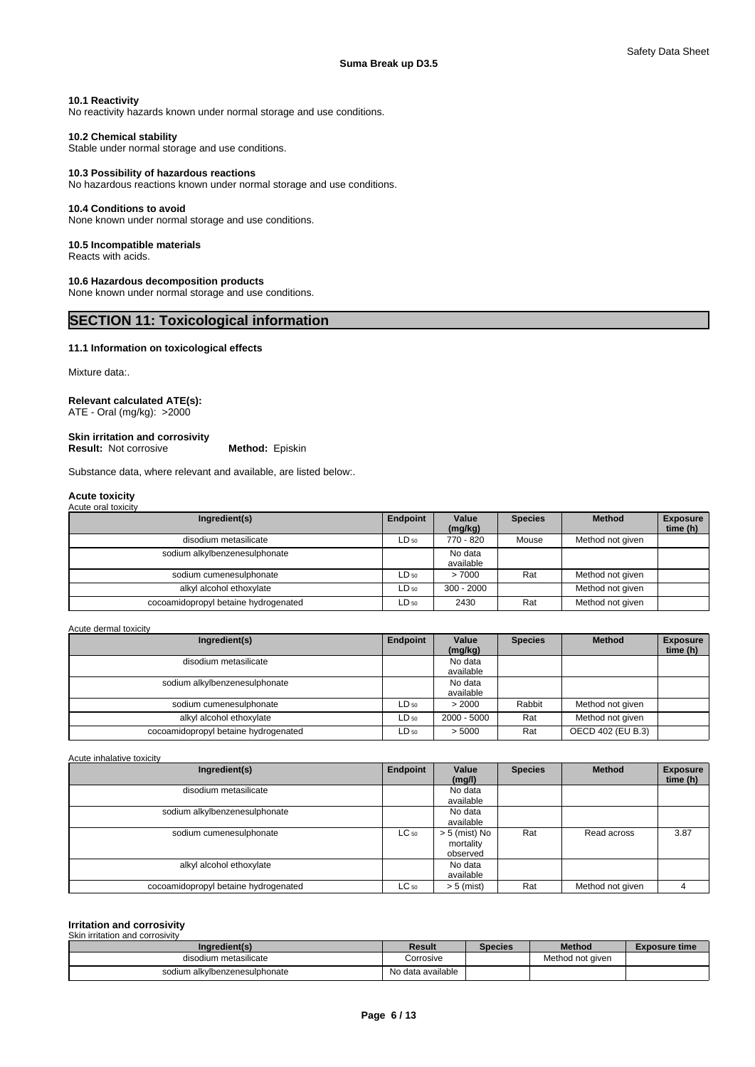# **10.1 Reactivity**

No reactivity hazards known under normal storage and use conditions.

# **10.2 Chemical stability**

Stable under normal storage and use conditions.

# **10.3 Possibility of hazardous reactions**

No hazardous reactions known under normal storage and use conditions.

#### **10.4 Conditions to avoid**

None known under normal storage and use conditions.

#### **10.5 Incompatible materials**

Reacts with acids.

# **10.6 Hazardous decomposition products**

None known under normal storage and use conditions.

# **SECTION 11: Toxicological information**

#### **11.1 Information on toxicological effects**

Mixture data:

# **Relevant calculated ATE(s):**

ATE - Oral (mg/kg): >2000

# **Skin irritation and corrosivity**

**Result:** Not corrosive **Method:** Episkin

Substance data, where relevant and available, are listed below:.

#### **Acute toxicity** Acute oral toxicity

| $1$ to grow of the restriction $\mathbf{r}$ |           |                      |                |                  |                             |
|---------------------------------------------|-----------|----------------------|----------------|------------------|-----------------------------|
| Ingredient(s)                               | Endpoint  | Value<br>(mq/kg)     | <b>Species</b> | <b>Method</b>    | <b>Exposure</b><br>time (h) |
| disodium metasilicate                       | $LD_{50}$ | 770 - 820            | Mouse          | Method not given |                             |
| sodium alkylbenzenesulphonate               |           | No data<br>available |                |                  |                             |
| sodium cumenesulphonate                     | $LD_{50}$ | >7000                | Rat            | Method not given |                             |
| alkyl alcohol ethoxylate                    | $LD_{50}$ | $300 - 2000$         |                | Method not given |                             |
| cocoamidopropyl betaine hydrogenated        | $LD_{50}$ | 2430                 | Rat            | Method not given |                             |

#### Acute dermal toxicity

| Ingredient(s)                        | Endpoint  | Value<br>(mg/kg)     | <b>Species</b> | <b>Method</b>     | <b>Exposure</b><br>time (h) |
|--------------------------------------|-----------|----------------------|----------------|-------------------|-----------------------------|
| disodium metasilicate                |           | No data<br>available |                |                   |                             |
| sodium alkylbenzenesulphonate        |           | No data<br>available |                |                   |                             |
| sodium cumenesulphonate              | $LD_{50}$ | > 2000               | Rabbit         | Method not given  |                             |
| alkyl alcohol ethoxylate             | $LD_{50}$ | 2000 - 5000          | Rat            | Method not given  |                             |
| cocoamidopropyl betaine hydrogenated | $LD_{50}$ | > 5000               | Rat            | OECD 402 (EU B.3) |                             |

Acute inhalative toxicity

| Ingredient(s)                        | Endpoint  | Value         | <b>Species</b> | <b>Method</b>    | <b>Exposure</b> |
|--------------------------------------|-----------|---------------|----------------|------------------|-----------------|
|                                      |           | (mg/l)        |                |                  | time (h)        |
| disodium metasilicate                |           | No data       |                |                  |                 |
|                                      |           | available     |                |                  |                 |
| sodium alkylbenzenesulphonate        |           | No data       |                |                  |                 |
|                                      |           | available     |                |                  |                 |
| sodium cumenesulphonate              | $LC_{50}$ | > 5 (mist) No | Rat            | Read across      | 3.87            |
|                                      |           | mortality     |                |                  |                 |
|                                      |           | observed      |                |                  |                 |
| alkyl alcohol ethoxylate             |           | No data       |                |                  |                 |
|                                      |           | available     |                |                  |                 |
| cocoamidopropyl betaine hydrogenated | $LC_{50}$ | $> 5$ (mist)  | Rat            | Method not given |                 |

#### **Irritation and corrosivity** Skin irritation and corrosivity

| Ingredient(s)                 | Result            | Species | <b>Method</b>    | <b>Exposure time</b> |
|-------------------------------|-------------------|---------|------------------|----------------------|
| disodium metasilicate         | Corrosive         |         | Method not aiven |                      |
| sodium alkylbenzenesulphonate | No data available |         |                  |                      |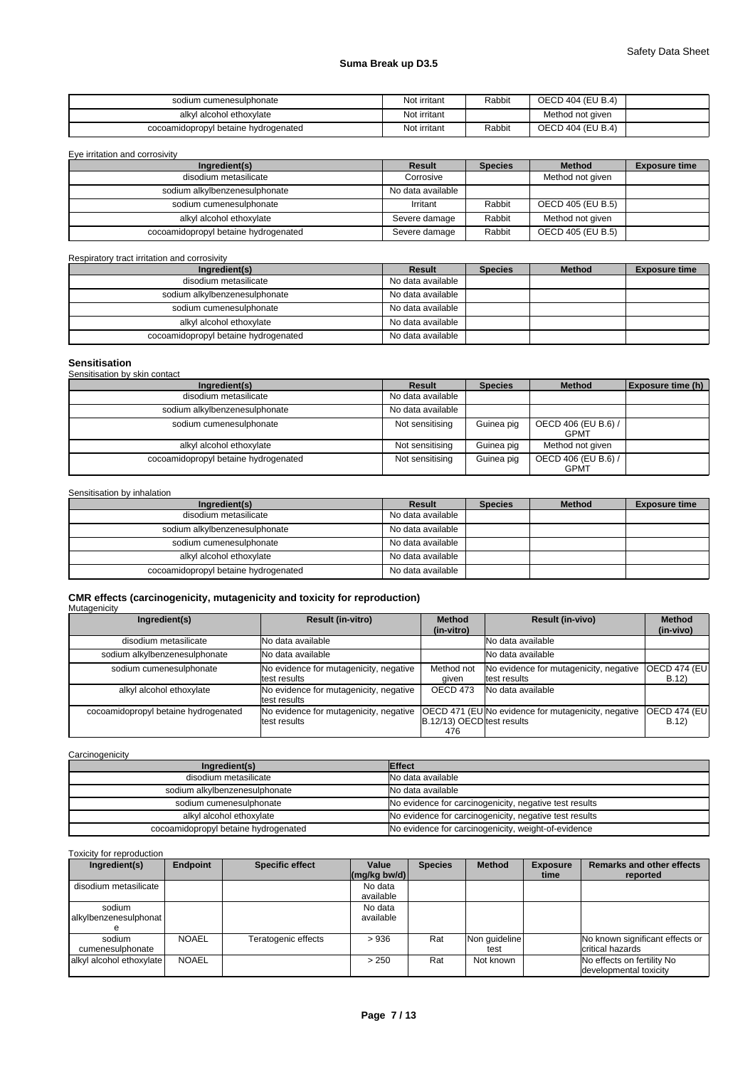# **Suma Break up D3.5**

| sodium cumenesulphonate              | Not irritant | Rabbit | <b>OECD 404 (EU B.4)</b> |  |
|--------------------------------------|--------------|--------|--------------------------|--|
| alkyl alcohol ethoxylate             | Not irritant |        | Method not given         |  |
| cocoamidopropyl betaine hydrogenated | Not irritant | Rabbit | <b>OECD 404 (EU B.4)</b> |  |

| Eye irritation and corrosivity       |                   |                |                   |                      |
|--------------------------------------|-------------------|----------------|-------------------|----------------------|
| Ingredient(s)                        | Result            | <b>Species</b> | <b>Method</b>     | <b>Exposure time</b> |
| disodium metasilicate                | Corrosive         |                | Method not given  |                      |
| sodium alkylbenzenesulphonate        | No data available |                |                   |                      |
| sodium cumenesulphonate              | Irritant          | Rabbit         | OECD 405 (EU B.5) |                      |
| alkyl alcohol ethoxylate             | Severe damage     | Rabbit         | Method not given  |                      |
| cocoamidopropyl betaine hydrogenated | Severe damage     | Rabbit         | OECD 405 (EU B.5) |                      |

Respiratory tract irritation and corrosivity

| Ingredient(s)                        | Result            | <b>Species</b> | <b>Method</b> | <b>Exposure time</b> |
|--------------------------------------|-------------------|----------------|---------------|----------------------|
| disodium metasilicate                | No data available |                |               |                      |
| sodium alkylbenzenesulphonate        | No data available |                |               |                      |
| sodium cumenesulphonate              | No data available |                |               |                      |
| alkyl alcohol ethoxylate             | No data available |                |               |                      |
| cocoamidopropyl betaine hydrogenated | No data available |                |               |                      |

| <b>Sensitisation</b>                 |                   |                |                                    |                   |
|--------------------------------------|-------------------|----------------|------------------------------------|-------------------|
| Sensitisation by skin contact        |                   |                |                                    |                   |
| Ingredient(s)                        | Result            | <b>Species</b> | <b>Method</b>                      | Exposure time (h) |
| disodium metasilicate                | No data available |                |                                    |                   |
| sodium alkylbenzenesulphonate        | No data available |                |                                    |                   |
| sodium cumenesulphonate              | Not sensitising   | Guinea pig     | OECD 406 (EU B.6) /<br><b>GPMT</b> |                   |
| alkyl alcohol ethoxylate             | Not sensitising   | Guinea pig     | Method not given                   |                   |
| cocoamidopropyl betaine hydrogenated | Not sensitising   | Guinea pig     | OECD 406 (EU B.6) /<br><b>GPMT</b> |                   |

# Sensitisation by inhalation

| Ingredient(s)                        | Result            | <b>Species</b> | <b>Method</b> | <b>Exposure time</b> |
|--------------------------------------|-------------------|----------------|---------------|----------------------|
| disodium metasilicate                | No data available |                |               |                      |
| sodium alkylbenzenesulphonate        | No data available |                |               |                      |
| sodium cumenesulphonate              | No data available |                |               |                      |
| alkyl alcohol ethoxylate             | No data available |                |               |                      |
| cocoamidopropyl betaine hydrogenated | No data available |                |               |                      |

# **CMR effects (carcinogenicity, mutagenicity and toxicity for reproduction)**

# **Mutagenicity**

| Ingredient(s)                        | <b>Result (in-vitro)</b>                               | <b>Method</b>                     | <b>Result (in-vivo)</b>                                    | <b>Method</b>                 |
|--------------------------------------|--------------------------------------------------------|-----------------------------------|------------------------------------------------------------|-------------------------------|
|                                      |                                                        | (in-vitro)                        |                                                            | (in-vivo)                     |
| disodium metasilicate                | <b>No data available</b>                               |                                   | No data available                                          |                               |
| sodium alkylbenzenesulphonate        | <b>No data available</b>                               |                                   | No data available                                          |                               |
| sodium cumenesulphonate              | No evidence for mutagenicity, negative<br>test results | Method not<br>aiven               | No evidence for mutagenicity, negative<br>test results     | <b>OECD 474 (EUI</b><br>B.12) |
| alkyl alcohol ethoxylate             | No evidence for mutagenicity, negative<br>test results | OECD 473                          | No data available                                          |                               |
| cocoamidopropyl betaine hydrogenated | No evidence for mutagenicity, negative<br>test results | B.12/13) OECD test results<br>476 | <b>OECD 471 (EU No evidence for mutagenicity, negative</b> | <b>OECD 474 (EUI</b><br>B.12  |

### **Carcinogenicity Ingredient(s) Effect** disodium metasilicate No data available sodium alkylbenzenesulphonate No data available sodium cumenesulphonate No evidence for carcinogenicity, negative test results<br>alkyl alcohol ethoxylate No evidence for carcinogenicity, negative test results No evidence for carcinogenicity, negative test results cocoamidopropyl betaine hydrogenated No evidence for carcinogenicity, weight-of-evidence

Toxicity for reproduction

| Ingredient(s)                   | <b>Endpoint</b> | <b>Specific effect</b> | Value<br>$\left \frac{\text{mg}}{\text{kg}}\right $ | <b>Species</b> | <b>Method</b>         | <b>Exposure</b><br>time | <b>Remarks and other effects</b><br>reported         |
|---------------------------------|-----------------|------------------------|-----------------------------------------------------|----------------|-----------------------|-------------------------|------------------------------------------------------|
| disodium metasilicate           |                 |                        | No data<br>available                                |                |                       |                         |                                                      |
| sodium<br>alkylbenzenesulphonat |                 |                        | No data<br>available                                |                |                       |                         |                                                      |
| sodium<br>cumenesulphonate      | <b>NOAEL</b>    | Teratogenic effects    | >936                                                | Rat            | Non quideline<br>test |                         | No known significant effects or<br>critical hazards  |
| alkyl alcohol ethoxylate        | <b>NOAEL</b>    |                        | > 250                                               | Rat            | Not known             |                         | No effects on fertility No<br>developmental toxicity |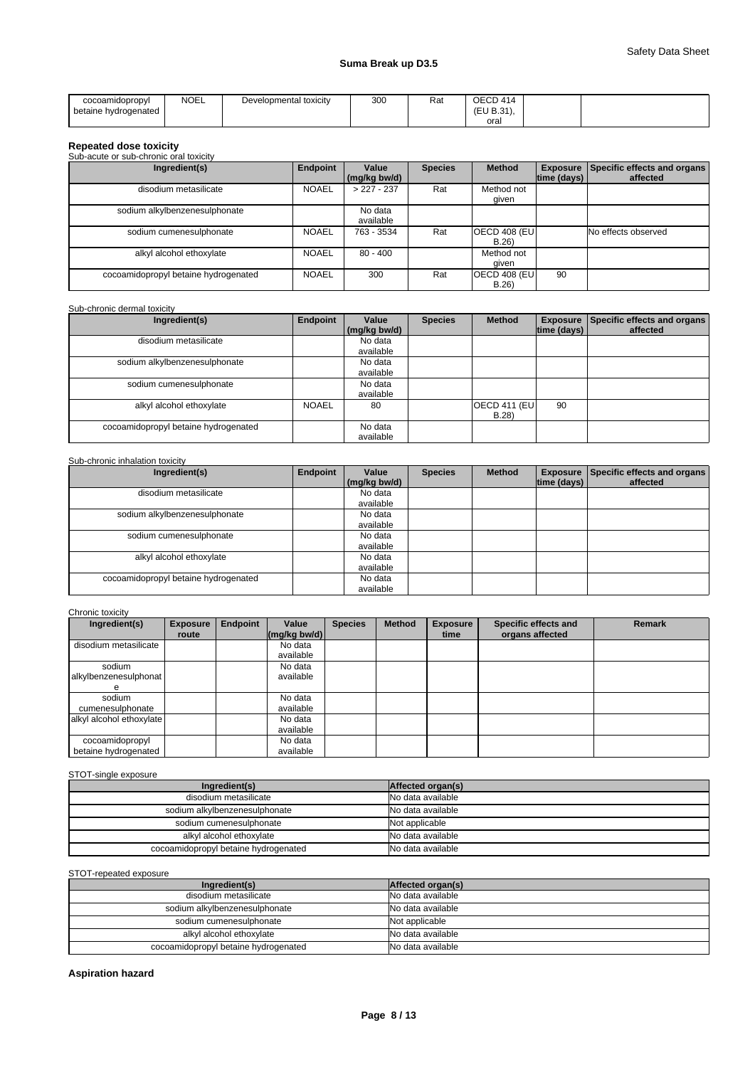| cocoamidopropyl           | <b>NOEL</b> | Developmental toxicity | 300 | Rat | OECD 414 |  |
|---------------------------|-------------|------------------------|-----|-----|----------|--|
| betaine hydrogenated<br>. |             |                        |     |     | (T11D24) |  |
|                           |             |                        |     |     | oral     |  |

# **Repeated dose toxicity** Sub-acute or sub-chronic oral toxicity

| Ingredient(s)                        | Endpoint     | Value<br>(mg/kg bw/d) | <b>Species</b> | <b>Method</b>                | $ time$ (days) $ $ | <b>Exposure Specific effects and organs</b><br>affected |
|--------------------------------------|--------------|-----------------------|----------------|------------------------------|--------------------|---------------------------------------------------------|
| disodium metasilicate                | <b>NOAEL</b> | $> 227 - 237$         | Rat            | Method not<br>qiven          |                    |                                                         |
| sodium alkylbenzenesulphonate        |              | No data<br>available  |                |                              |                    |                                                         |
| sodium cumenesulphonate              | <b>NOAEL</b> | 763 - 3534            | Rat            | OECD 408 (EU<br>B.26         |                    | No effects observed                                     |
| alkyl alcohol ethoxylate             | <b>NOAEL</b> | 80 - 400              |                | Method not<br>aiven          |                    |                                                         |
| cocoamidopropyl betaine hydrogenated | <b>NOAEL</b> | 300                   | Rat            | <b>OECD 408 (EU)</b><br>B.26 | 90                 |                                                         |

# Sub-chronic dermal toxicity

| Ingredient(s)                        | Endpoint     | Value        | <b>Species</b> | <b>Method</b>        |             | Exposure Specific effects and organs |
|--------------------------------------|--------------|--------------|----------------|----------------------|-------------|--------------------------------------|
|                                      |              | (mg/kg bw/d) |                |                      | time (days) | affected                             |
| disodium metasilicate                |              | No data      |                |                      |             |                                      |
|                                      |              | available    |                |                      |             |                                      |
| sodium alkylbenzenesulphonate        |              | No data      |                |                      |             |                                      |
|                                      |              | available    |                |                      |             |                                      |
| sodium cumenesulphonate              |              | No data      |                |                      |             |                                      |
|                                      |              | available    |                |                      |             |                                      |
| alkyl alcohol ethoxylate             | <b>NOAEL</b> | 80           |                | <b>OECD 411 (EU)</b> | 90          |                                      |
|                                      |              |              |                | B.28                 |             |                                      |
| cocoamidopropyl betaine hydrogenated |              | No data      |                |                      |             |                                      |
|                                      |              | available    |                |                      |             |                                      |

# Sub-chronic inhalation toxicity

| Ingredient(s)                        | Endpoint | Value        | <b>Species</b> | Method |             | Exposure Specific effects and organs |
|--------------------------------------|----------|--------------|----------------|--------|-------------|--------------------------------------|
|                                      |          | (mg/kg bw/d) |                |        | time (days) | affected                             |
| disodium metasilicate                |          | No data      |                |        |             |                                      |
|                                      |          | available    |                |        |             |                                      |
| sodium alkylbenzenesulphonate        |          | No data      |                |        |             |                                      |
|                                      |          | available    |                |        |             |                                      |
| sodium cumenesulphonate              |          | No data      |                |        |             |                                      |
|                                      |          | available    |                |        |             |                                      |
| alkyl alcohol ethoxylate             |          | No data      |                |        |             |                                      |
|                                      |          | available    |                |        |             |                                      |
| cocoamidopropyl betaine hydrogenated |          | No data      |                |        |             |                                      |
|                                      |          | available    |                |        |             |                                      |

# Chronic toxicity

| Ingredient(s)                           | <b>Exposure</b> | Endpoint | Value                | <b>Species</b> | <b>Method</b> | <b>Exposure</b> | Specific effects and | <b>Remark</b> |
|-----------------------------------------|-----------------|----------|----------------------|----------------|---------------|-----------------|----------------------|---------------|
|                                         | route           |          | (mg/kg bw/d)         |                |               | time            | organs affected      |               |
| disodium metasilicate                   |                 |          | No data<br>available |                |               |                 |                      |               |
| sodium<br>alkylbenzenesulphonat<br>e    |                 |          | No data<br>available |                |               |                 |                      |               |
| sodium<br>cumenesulphonate              |                 |          | No data<br>available |                |               |                 |                      |               |
| alkyl alcohol ethoxylate                |                 |          | No data<br>available |                |               |                 |                      |               |
| cocoamidopropyl<br>betaine hydrogenated |                 |          | No data<br>available |                |               |                 |                      |               |

# STOT-single exposure

| Ingredient(s)                        | Affected organ(s) |
|--------------------------------------|-------------------|
| disodium metasilicate                | No data available |
| sodium alkylbenzenesulphonate        | No data available |
| sodium cumenesulphonate              | Not applicable    |
| alkyl alcohol ethoxylate             | No data available |
| cocoamidopropyl betaine hydrogenated | No data available |

# STOT-repeated exposure

| Ingredient(s)                        | Affected organ(s) |
|--------------------------------------|-------------------|
| disodium metasilicate                | No data available |
| sodium alkylbenzenesulphonate        | No data available |
| sodium cumenesulphonate              | Not applicable    |
| alkyl alcohol ethoxylate             | No data available |
| cocoamidopropyl betaine hydrogenated | No data available |

# **Aspiration hazard**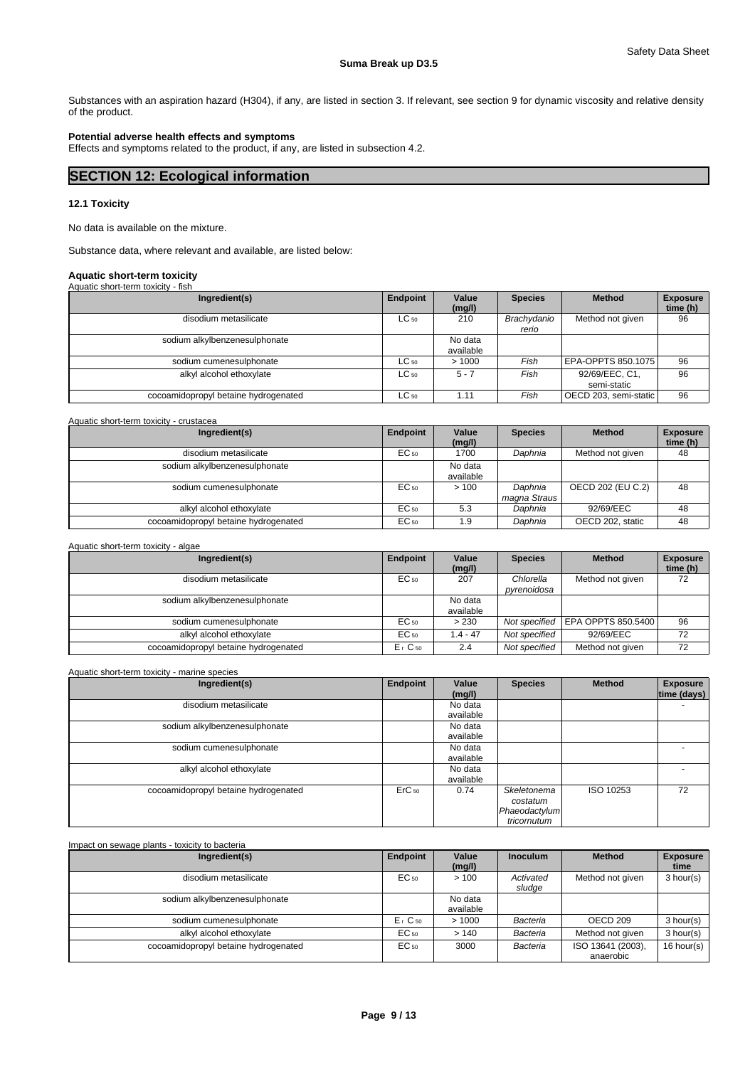Substances with an aspiration hazard (H304), if any, are listed in section 3. If relevant, see section 9 for dynamic viscosity and relative density of the product.

# **Potential adverse health effects and symptoms**

Effects and symptoms related to the product, if any, are listed in subsection 4.2.

# **SECTION 12: Ecological information**

# **12.1 Toxicity**

No data is available on the mixture.

Substance data, where relevant and available, are listed below:

# **Aquatic short-term toxicity**

| Aquatic short-term toxicity - fish   |           |                      |                      |                               |                             |
|--------------------------------------|-----------|----------------------|----------------------|-------------------------------|-----------------------------|
| Ingredient(s)                        | Endpoint  | Value<br>(mg/l)      | <b>Species</b>       | <b>Method</b>                 | <b>Exposure</b><br>time (h) |
| disodium metasilicate                | $LC_{50}$ | 210                  | Brachydanio<br>rerio | Method not given              | 96                          |
| sodium alkylbenzenesulphonate        |           | No data<br>available |                      |                               |                             |
| sodium cumenesulphonate              | $LC_{50}$ | >1000                | Fish                 | EPA-OPPTS 850.1075            | 96                          |
| alkyl alcohol ethoxylate             | $LC_{50}$ | $5 - 7$              | Fish                 | 92/69/EEC, C1,<br>semi-static | 96                          |
| cocoamidopropyl betaine hydrogenated | $LC_{50}$ | 1.11                 | Fish                 | OECD 203, semi-static         | 96                          |

| Aquatic short-term toxicity - crustacea |                 |                      |                         |                   |                             |
|-----------------------------------------|-----------------|----------------------|-------------------------|-------------------|-----------------------------|
| Ingredient(s)                           | <b>Endpoint</b> | Value<br>(mg/l)      | <b>Species</b>          | <b>Method</b>     | <b>Exposure</b><br>time (h) |
| disodium metasilicate                   | $EC_{50}$       | 1700                 | Daphnia                 | Method not given  | 48                          |
| sodium alkylbenzenesulphonate           |                 | No data<br>available |                         |                   |                             |
| sodium cumenesulphonate                 | $EC_{50}$       | >100                 | Daphnia<br>magna Straus | OECD 202 (EU C.2) | 48                          |
| alkyl alcohol ethoxylate                | $EC_{50}$       | 5.3                  | Daphnia                 | 92/69/EEC         | 48                          |
| cocoamidopropyl betaine hydrogenated    | $EC_{50}$       | 1.9                  | Daphnia                 | OECD 202, static  | 48                          |

# Aquatic short-term toxicity - algae

| Ingredient(s)                        | Endpoint  | Value<br>(mg/l)      | <b>Species</b>           | <b>Method</b>                     | <b>Exposure</b><br>time (h) |
|--------------------------------------|-----------|----------------------|--------------------------|-----------------------------------|-----------------------------|
| disodium metasilicate                | EC 50     | 207                  | Chlorella<br>pyrenoidosa | Method not given                  | 72                          |
| sodium alkylbenzenesulphonate        |           | No data<br>available |                          |                                   |                             |
| sodium cumenesulphonate              | EC 50     | > 230                |                          | Not specified LEPA OPPTS 850.5400 | 96                          |
| alkyl alcohol ethoxylate             | EC 50     | $.4 - 47$            | Not specified            | 92/69/EEC                         | 72                          |
| cocoamidopropyl betaine hydrogenated | $E1$ C 50 | 2.4                  | Not specified            | Method not given                  | 72                          |

# Aquatic short-term toxicity - marine species

| Ingredient(s)                        | <b>Endpoint</b>   | Value<br>(mg/l)      | <b>Species</b>                                          | <b>Method</b> | <b>Exposure</b><br>time (days) |
|--------------------------------------|-------------------|----------------------|---------------------------------------------------------|---------------|--------------------------------|
| disodium metasilicate                |                   | No data<br>available |                                                         |               |                                |
| sodium alkylbenzenesulphonate        |                   | No data<br>available |                                                         |               |                                |
| sodium cumenesulphonate              |                   | No data<br>available |                                                         |               |                                |
| alkyl alcohol ethoxylate             |                   | No data<br>available |                                                         |               |                                |
| cocoamidopropyl betaine hydrogenated | ErC <sub>50</sub> | 0.74                 | Skeletonema<br>costatum<br>Phaeodactylum<br>tricornutum | ISO 10253     | 72                             |

# Impact on sewage plants - toxicity to bacteria

| Ingredient(s)                        | Endpoint         | Value<br>(mg/l)      | <b>Inoculum</b>     | <b>Method</b>                  | <b>Exposure</b><br>time |
|--------------------------------------|------------------|----------------------|---------------------|--------------------------------|-------------------------|
| disodium metasilicate                | EC <sub>50</sub> | >100                 | Activated<br>sludge | Method not given               | 3 hour(s)               |
| sodium alkylbenzenesulphonate        |                  | No data<br>available |                     |                                |                         |
| sodium cumenesulphonate              | $Er$ C 50        | >1000                | Bacteria            | OECD <sub>209</sub>            | 3 hour(s)               |
| alkyl alcohol ethoxylate             | EC 50            | >140                 | Bacteria            | Method not given               | 3 hour(s)               |
| cocoamidopropyl betaine hydrogenated | $EC_{50}$        | 3000                 | Bacteria            | ISO 13641 (2003),<br>anaerobic | 16 hour(s)              |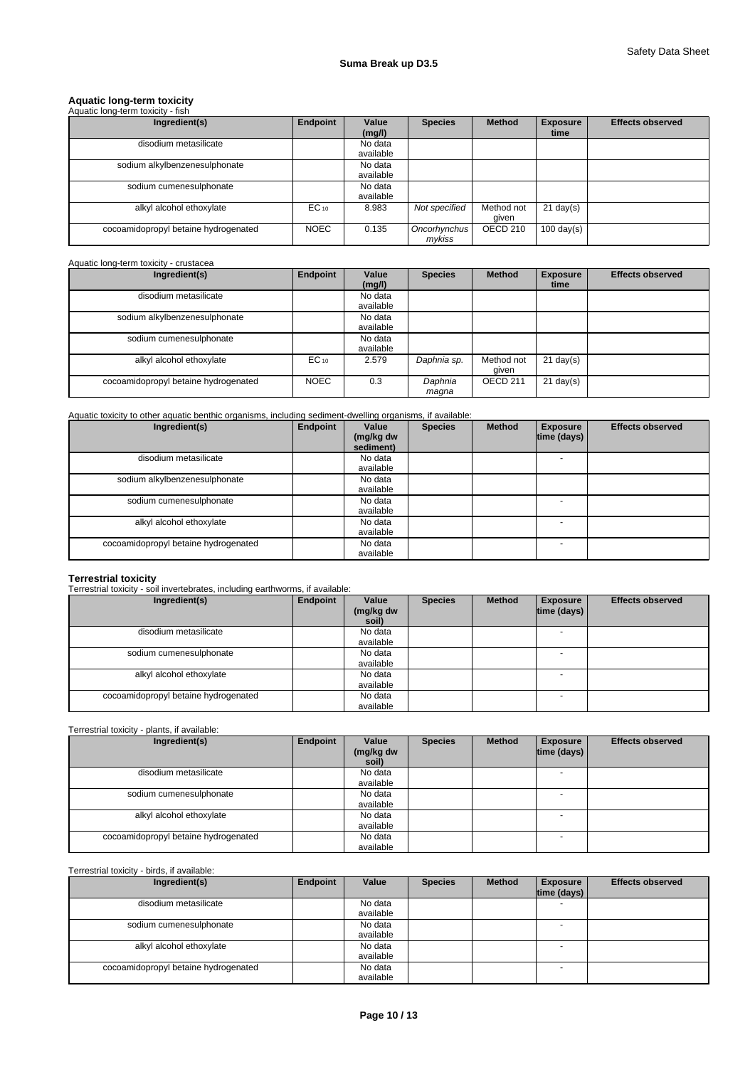# **Aquatic long-term toxicity** Aquatic long-term toxicity - fish

| Ingredient(s)                        | <b>Endpoint</b> | Value     | <b>Species</b>         | <b>Method</b> | <b>Exposure</b><br>time | <b>Effects observed</b> |
|--------------------------------------|-----------------|-----------|------------------------|---------------|-------------------------|-------------------------|
|                                      |                 | (mg/l)    |                        |               |                         |                         |
| disodium metasilicate                |                 | No data   |                        |               |                         |                         |
|                                      |                 | available |                        |               |                         |                         |
| sodium alkylbenzenesulphonate        |                 | No data   |                        |               |                         |                         |
|                                      |                 | available |                        |               |                         |                         |
| sodium cumenesulphonate              |                 | No data   |                        |               |                         |                         |
|                                      |                 | available |                        |               |                         |                         |
| alkyl alcohol ethoxylate             | $EC_{10}$       | 8.983     | Not specified          | Method not    | $21$ day(s)             |                         |
|                                      |                 |           |                        | qiven         |                         |                         |
| cocoamidopropyl betaine hydrogenated | <b>NOEC</b>     | 0.135     | Oncorhynchus<br>mykiss | OECD 210      | $100 \text{ day(s)}$    |                         |

# Aquatic long-term toxicity - crustacea

| Ingredient(s)                        | Endpoint    | Value<br>(mg/l)      | <b>Species</b>   | <b>Method</b>       | <b>Exposure</b><br>time | <b>Effects observed</b> |
|--------------------------------------|-------------|----------------------|------------------|---------------------|-------------------------|-------------------------|
| disodium metasilicate                |             | No data<br>available |                  |                     |                         |                         |
| sodium alkylbenzenesulphonate        |             | No data<br>available |                  |                     |                         |                         |
| sodium cumenesulphonate              |             | No data<br>available |                  |                     |                         |                         |
| alkyl alcohol ethoxylate             | $EC_{10}$   | 2.579                | Daphnia sp.      | Method not<br>qiven | $21$ day(s)             |                         |
| cocoamidopropyl betaine hydrogenated | <b>NOEC</b> | 0.3                  | Daphnia<br>maqna | OECD <sub>211</sub> | $21$ day(s)             |                         |

# Aquatic toxicity to other aquatic benthic organisms, including sediment-dwelling organisms, if available:

| Ingredient(s)                        | Endpoint | Value<br>(mg/kg dw<br>sediment) | <b>Species</b> | <b>Method</b> | <b>Exposure</b><br>time (days) | <b>Effects observed</b> |
|--------------------------------------|----------|---------------------------------|----------------|---------------|--------------------------------|-------------------------|
| disodium metasilicate                |          | No data<br>available            |                |               |                                |                         |
| sodium alkylbenzenesulphonate        |          | No data<br>available            |                |               |                                |                         |
| sodium cumenesulphonate              |          | No data<br>available            |                |               |                                |                         |
| alkyl alcohol ethoxylate             |          | No data<br>available            |                |               |                                |                         |
| cocoamidopropyl betaine hydrogenated |          | No data<br>available            |                |               |                                |                         |

# **Terrestrial toxicity** Terrestrial toxicity - soil invertebrates, including earthworms, if available:

| Ingredient(s)                        | Endpoint | Value<br>(mg/kg dw<br>soil) | <b>Species</b> | <b>Method</b> | <b>Exposure</b><br> time (days) | <b>Effects observed</b> |
|--------------------------------------|----------|-----------------------------|----------------|---------------|---------------------------------|-------------------------|
| disodium metasilicate                |          | No data<br>available        |                |               |                                 |                         |
| sodium cumenesulphonate              |          | No data<br>available        |                |               |                                 |                         |
| alkyl alcohol ethoxylate             |          | No data<br>available        |                |               |                                 |                         |
| cocoamidopropyl betaine hydrogenated |          | No data<br>available        |                |               |                                 |                         |

# Terrestrial toxicity - plants, if available:

| Ingredient(s)                        | Endpoint | Value<br>(mg/kg dw<br>soil) | <b>Species</b> | <b>Method</b> | <b>Exposure</b><br> time (days) | <b>Effects observed</b> |
|--------------------------------------|----------|-----------------------------|----------------|---------------|---------------------------------|-------------------------|
| disodium metasilicate                |          | No data                     |                |               | $\overline{\phantom{0}}$        |                         |
|                                      |          | available                   |                |               |                                 |                         |
| sodium cumenesulphonate              |          | No data                     |                |               |                                 |                         |
|                                      |          | available                   |                |               |                                 |                         |
| alkyl alcohol ethoxylate             |          | No data                     |                |               |                                 |                         |
|                                      |          | available                   |                |               |                                 |                         |
| cocoamidopropyl betaine hydrogenated |          | No data                     |                |               | <b>.</b>                        |                         |
|                                      |          | available                   |                |               |                                 |                         |

# Terrestrial toxicity - birds, if available:

| Ingredient(s)                        | Endpoint | Value     | <b>Species</b> | <b>Method</b> | <b>Exposure</b><br>time (days) | <b>Effects observed</b> |
|--------------------------------------|----------|-----------|----------------|---------------|--------------------------------|-------------------------|
| disodium metasilicate                |          | No data   |                |               |                                |                         |
|                                      |          | available |                |               |                                |                         |
| sodium cumenesulphonate              |          | No data   |                |               |                                |                         |
|                                      |          | available |                |               |                                |                         |
| alkyl alcohol ethoxylate             |          | No data   |                |               |                                |                         |
|                                      |          | available |                |               |                                |                         |
| cocoamidopropyl betaine hydrogenated |          | No data   |                |               | $\sim$                         |                         |
|                                      |          | available |                |               |                                |                         |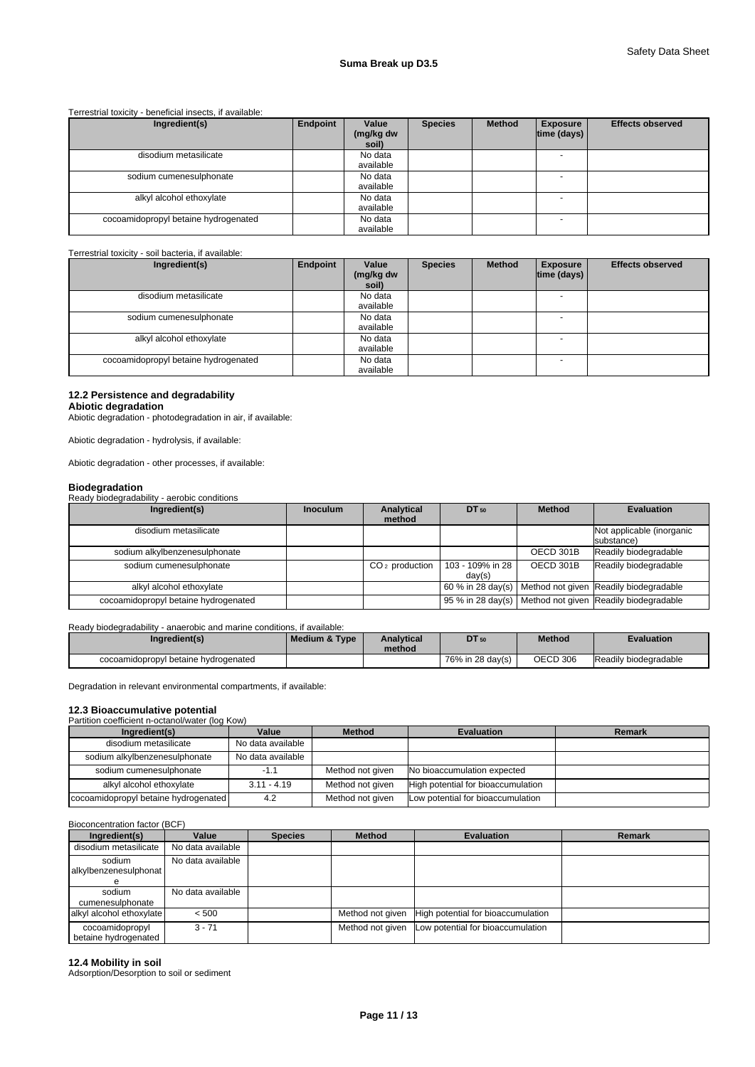#### Terrestrial toxicity - beneficial insects, if available:

| Ingredient(s)                        | Endpoint | Value<br>(mg/kg dw<br>soil) | <b>Species</b> | <b>Method</b> | <b>Exposure</b><br>$ time$ (days) $ $ | <b>Effects observed</b> |
|--------------------------------------|----------|-----------------------------|----------------|---------------|---------------------------------------|-------------------------|
| disodium metasilicate                |          | No data<br>available        |                |               |                                       |                         |
| sodium cumenesulphonate              |          | No data<br>available        |                |               |                                       |                         |
| alkyl alcohol ethoxylate             |          | No data<br>available        |                |               |                                       |                         |
| cocoamidopropyl betaine hydrogenated |          | No data<br>available        |                |               |                                       |                         |

#### Terrestrial toxicity - soil bacteria, if available:

| Ingredient(s)                        | Endpoint | Value<br>(mg/kg dw<br>soil) | <b>Species</b> | <b>Method</b> | <b>Exposure</b><br> time (days) | <b>Effects observed</b> |
|--------------------------------------|----------|-----------------------------|----------------|---------------|---------------------------------|-------------------------|
| disodium metasilicate                |          | No data<br>available        |                |               |                                 |                         |
| sodium cumenesulphonate              |          | No data<br>available        |                |               |                                 |                         |
| alkyl alcohol ethoxylate             |          | No data<br>available        |                |               |                                 |                         |
| cocoamidopropyl betaine hydrogenated |          | No data<br>available        |                |               | <b>.</b>                        |                         |

# **12.2 Persistence and degradability**

# **Abiotic degradation**

Abiotic degradation - photodegradation in air, if available:

Abiotic degradation - hydrolysis, if available:

Abiotic degradation - other processes, if available:

**Biodegradation** Ready biodegradability - aerobic conditions

| Ingredient(s)                        | <b>Inoculum</b> | <b>Analytical</b><br>method | DT 50                      | <b>Method</b> | <b>Evaluation</b>                                        |
|--------------------------------------|-----------------|-----------------------------|----------------------------|---------------|----------------------------------------------------------|
| disodium metasilicate                |                 |                             |                            |               | Not applicable (inorganic<br>substance)                  |
| sodium alkylbenzenesulphonate        |                 |                             |                            | OECD 301B     | Readily biodegradable                                    |
| sodium cumenesulphonate              |                 | $CO2$ production            | 103 - 109% in 28<br>day(s) | OECD 301B     | Readily biodegradable                                    |
| alkyl alcohol ethoxylate             |                 |                             |                            |               | 60 % in 28 day(s) Method not given Readily biodegradable |
| cocoamidopropyl betaine hydrogenated |                 |                             |                            |               | 95 % in 28 day(s) Method not given Readily biodegradable |

#### Ready biodegradability - anaerobic and marine conditions, if available:

| Ingredient(s)                        | Medium & Type | <b>Analytical</b><br>method | <b>DT</b> 50     | <b>Method</b> | <b>Evaluation</b>     |
|--------------------------------------|---------------|-----------------------------|------------------|---------------|-----------------------|
| cocoamidopropyl betaine hydrogenated |               |                             | 76% in 28 day(s) | OECD 306      | Readily biodegradable |

Degradation in relevant environmental compartments, if available:

# **12.3 Bioaccumulative potential**

| Partition coefficient n-octanol/water (log Kow) |                   |                  |                                    |        |  |  |
|-------------------------------------------------|-------------------|------------------|------------------------------------|--------|--|--|
| Ingredient(s)                                   | Value             | <b>Method</b>    | <b>Evaluation</b>                  | Remark |  |  |
| disodium metasilicate                           | No data available |                  |                                    |        |  |  |
| sodium alkylbenzenesulphonate                   | No data available |                  |                                    |        |  |  |
| sodium cumenesulphonate                         | $-1.1$            | Method not given | No bioaccumulation expected        |        |  |  |
| alkyl alcohol ethoxylate                        | $3.11 - 4.19$     | Method not given | High potential for bioaccumulation |        |  |  |
| cocoamidopropyl betaine hydrogenated            | 4.2               | Method not given | Low potential for bioaccumulation  |        |  |  |

# Bioconcentration factor (BCF)

| Ingredient(s)                           | Value             | <b>Species</b> | <b>Method</b>    | <b>Evaluation</b>                  | Remark |
|-----------------------------------------|-------------------|----------------|------------------|------------------------------------|--------|
| disodium metasilicate                   | No data available |                |                  |                                    |        |
| sodium<br>alkylbenzenesulphonat         | No data available |                |                  |                                    |        |
| sodium<br>cumenesulphonate              | No data available |                |                  |                                    |        |
| alkyl alcohol ethoxylate                | < 500             |                | Method not given | High potential for bioaccumulation |        |
| cocoamidopropyl<br>betaine hydrogenated | $3 - 71$          |                | Method not given | Low potential for bioaccumulation  |        |

# **12.4 Mobility in soil**

Adsorption/Desorption to soil or sediment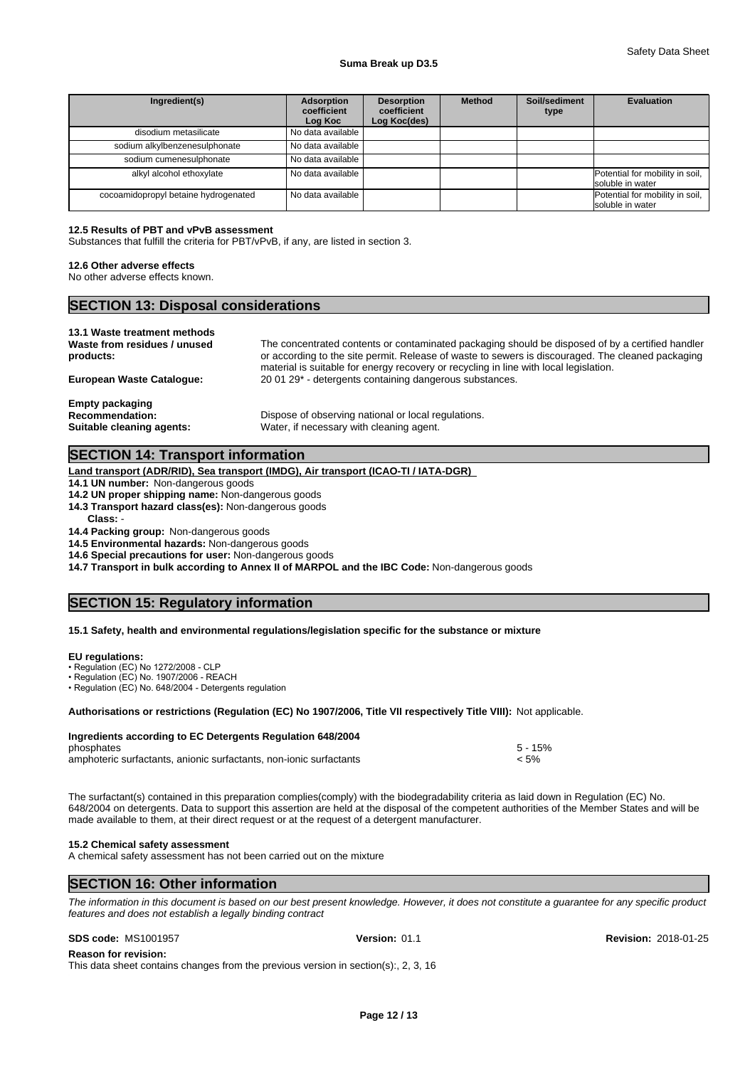### **Suma Break up D3.5**

| Ingredient(s)                        | <b>Adsorption</b><br>coefficient<br>Log Koc | <b>Desorption</b><br>coefficient<br>Log Koc(des) | <b>Method</b> | Soil/sediment<br>type | Evaluation                                          |
|--------------------------------------|---------------------------------------------|--------------------------------------------------|---------------|-----------------------|-----------------------------------------------------|
| disodium metasilicate                | No data available                           |                                                  |               |                       |                                                     |
| sodium alkylbenzenesulphonate        | No data available                           |                                                  |               |                       |                                                     |
| sodium cumenesulphonate              | No data available                           |                                                  |               |                       |                                                     |
| alkyl alcohol ethoxylate             | No data available                           |                                                  |               |                       | Potential for mobility in soil,<br>soluble in water |
| cocoamidopropyl betaine hydrogenated | No data available                           |                                                  |               |                       | Potential for mobility in soil,<br>soluble in water |

# **12.5 Results of PBT and vPvB assessment**

Substances that fulfill the criteria for PBT/vPvB, if any, are listed in section 3.

# **12.6 Other adverse effects**

No other adverse effects known.

| <b>SECTION 13: Disposal considerations</b>                   |                                                                                                  |  |  |  |  |  |  |
|--------------------------------------------------------------|--------------------------------------------------------------------------------------------------|--|--|--|--|--|--|
| 13.1 Waste treatment methods<br>Waste from residues / unused | The concentrated contents or contaminated packaging should be disposed of by a certified handler |  |  |  |  |  |  |

| products:<br>European Waste Cataloque:                                 | or according to the site permit. Release of waste to sewers is discouraged. The cleaned packaging<br>material is suitable for energy recovery or recycling in line with local legislation.<br>20 01 29 <sup>*</sup> - detergents containing dangerous substances. |
|------------------------------------------------------------------------|-------------------------------------------------------------------------------------------------------------------------------------------------------------------------------------------------------------------------------------------------------------------|
| Empty packaging<br><b>Recommendation:</b><br>Suitable cleaning agents: | Dispose of observing national or local regulations.<br>Water, if necessary with cleaning agent.                                                                                                                                                                   |

# **SECTION 14: Transport information**

**Land transport (ADR/RID), Sea transport (IMDG), Air transport (ICAO-TI / IATA-DGR)** 

**14.1 UN number:** Non-dangerous goods

**14.2 UN proper shipping name:** Non-dangerous goods

**14.3 Transport hazard class(es):** Non-dangerous goods

**Class:** -

**14.4 Packing group:** Non-dangerous goods

**14.5 Environmental hazards:** Non-dangerous goods

**14.6 Special precautions for user:** Non-dangerous goods

**14.7 Transport in bulk according to Annex II of MARPOL and the IBC Code:** Non-dangerous goods

# **SECTION 15: Regulatory information**

# **15.1 Safety, health and environmental regulations/legislation specific for the substance or mixture**

# **EU regulations:**

• Regulation (EC) No 1272/2008 - CLP

• Regulation (EC) No. 1907/2006 - REACH

•Regulation (EC) No. 648/2004 - Detergents regulation

**Authorisations or restrictions (Regulation (EC) No 1907/2006, Title VII respectively Title VIII):** Not applicable.

| Ingredients according to EC Detergents Regulation 648/2004         |           |  |
|--------------------------------------------------------------------|-----------|--|
| phosphates                                                         | $5 - 15%$ |  |
| amphoteric surfactants, anionic surfactants, non-ionic surfactants | < 5%      |  |

The surfactant(s) contained in this preparation complies(comply) with the biodegradability criteria as laid down in Regulation (EC) No. 648/2004 on detergents. Data to support this assertion are held at the disposal of the competent authorities of the Member States and will be made available to them, at their direct request or at the request of a detergent manufacturer.

#### **15.2 Chemical safety assessment**

A chemical safety assessment has not been carried out on the mixture

# **SECTION 16: Other information**

*The information in this document is based on our best present knowledge. However, it does not constitute a guarantee for any specific product features and does not establish a legally binding contract*

**Reason for revision:**

This data sheet contains changes from the previous version in section(s):, 2, 3, 16

**SDS code:** MS1001957 **Version:** 01.1 **Revision:** 2018-01-25